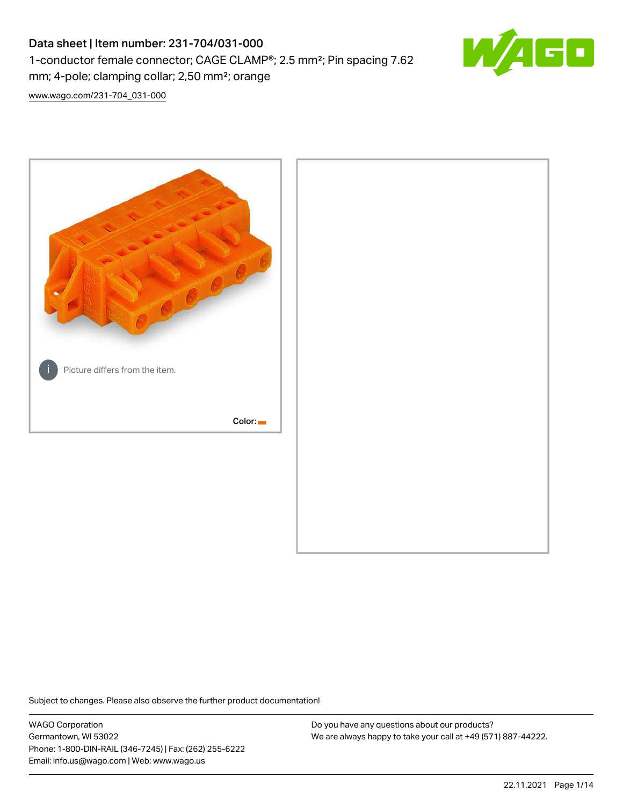# Data sheet | Item number: 231-704/031-000 1-conductor female connector; CAGE CLAMP®; 2.5 mm²; Pin spacing 7.62 mm; 4-pole; clamping collar; 2,50 mm²; orange



[www.wago.com/231-704\\_031-000](http://www.wago.com/231-704_031-000)



Subject to changes. Please also observe the further product documentation!

WAGO Corporation Germantown, WI 53022 Phone: 1-800-DIN-RAIL (346-7245) | Fax: (262) 255-6222 Email: info.us@wago.com | Web: www.wago.us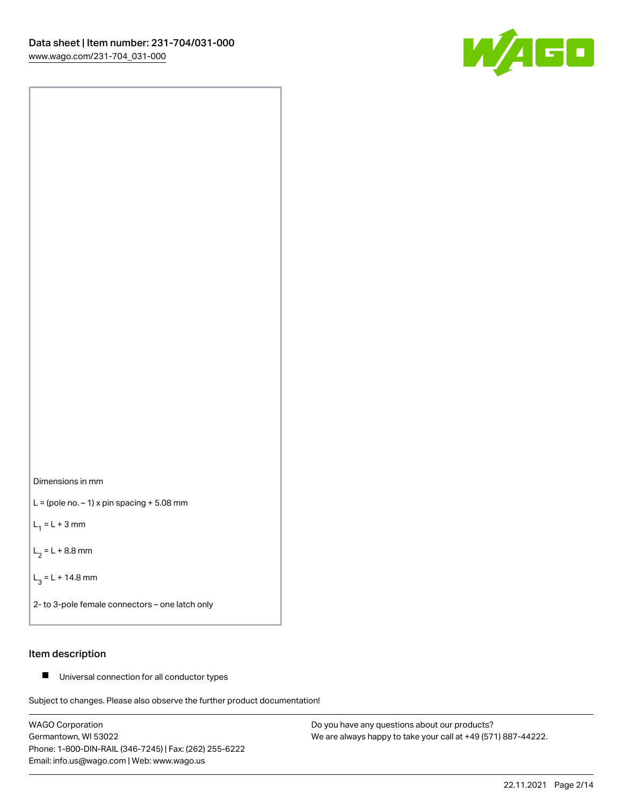



 $L =$  (pole no.  $-1$ ) x pin spacing  $+5.08$  mm

 $L_1 = L + 3$  mm

 $L_2 = L + 8.8$  mm

 $L_3 = L + 14.8$  mm

2- to 3-pole female connectors – one latch only

#### Item description

■ Universal connection for all conductor types

Subject to changes. Please also observe the further product documentation!

WAGO Corporation Germantown, WI 53022 Phone: 1-800-DIN-RAIL (346-7245) | Fax: (262) 255-6222 Email: info.us@wago.com | Web: www.wago.us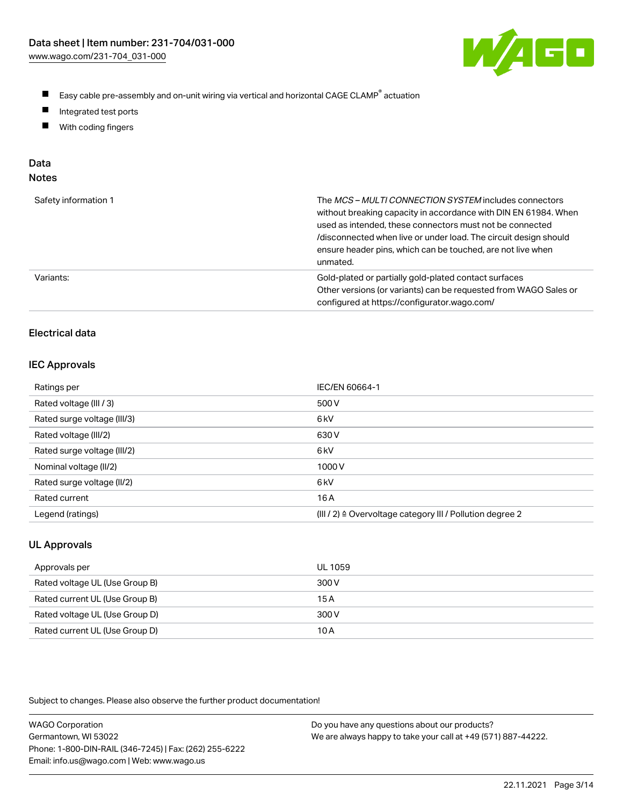

- $\blacksquare$ Easy cable pre-assembly and on-unit wiring via vertical and horizontal CAGE CLAMP<sup>®</sup> actuation
- $\blacksquare$ Integrated test ports
- $\blacksquare$ With coding fingers

# Data

| ×<br>w<br>w<br>٠<br>۹<br>۰, |  |
|-----------------------------|--|
|-----------------------------|--|

| Safety information 1 | The MCS-MULTI CONNECTION SYSTEM includes connectors<br>without breaking capacity in accordance with DIN EN 61984. When<br>used as intended, these connectors must not be connected<br>/disconnected when live or under load. The circuit design should<br>ensure header pins, which can be touched, are not live when<br>unmated. |
|----------------------|-----------------------------------------------------------------------------------------------------------------------------------------------------------------------------------------------------------------------------------------------------------------------------------------------------------------------------------|
| Variants:            | Gold-plated or partially gold-plated contact surfaces<br>Other versions (or variants) can be requested from WAGO Sales or<br>configured at https://configurator.wago.com/                                                                                                                                                         |

## Electrical data

#### IEC Approvals

| Ratings per                 | IEC/EN 60664-1                                                        |
|-----------------------------|-----------------------------------------------------------------------|
| Rated voltage (III / 3)     | 500 V                                                                 |
| Rated surge voltage (III/3) | 6 <sub>k</sub> V                                                      |
| Rated voltage (III/2)       | 630 V                                                                 |
| Rated surge voltage (III/2) | 6 <sub>k</sub> V                                                      |
| Nominal voltage (II/2)      | 1000V                                                                 |
| Rated surge voltage (II/2)  | 6 <sub>k</sub> V                                                      |
| Rated current               | 16 A                                                                  |
| Legend (ratings)            | $(III / 2)$ $\triangle$ Overvoltage category III / Pollution degree 2 |

## UL Approvals

| Approvals per                  | UL 1059 |
|--------------------------------|---------|
| Rated voltage UL (Use Group B) | 300 V   |
| Rated current UL (Use Group B) | 15 A    |
| Rated voltage UL (Use Group D) | 300 V   |
| Rated current UL (Use Group D) | 10 A    |

| <b>WAGO Corporation</b>                                | Do you have any questions about our products?                 |
|--------------------------------------------------------|---------------------------------------------------------------|
| Germantown, WI 53022                                   | We are always happy to take your call at +49 (571) 887-44222. |
| Phone: 1-800-DIN-RAIL (346-7245)   Fax: (262) 255-6222 |                                                               |
| Email: info.us@wago.com   Web: www.wago.us             |                                                               |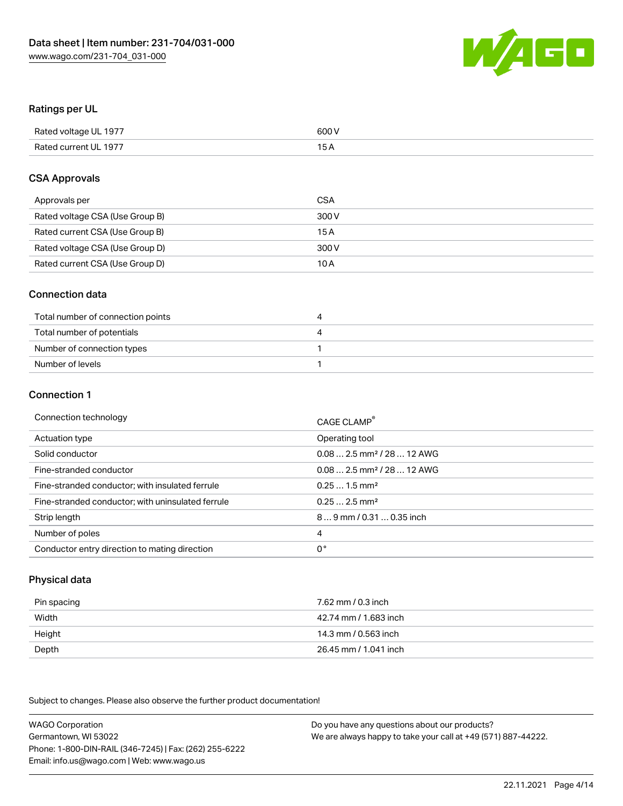

## Ratings per UL

| Rated voltage UL 1977 | 600 V |
|-----------------------|-------|
| Rated current UL 1977 |       |

## CSA Approvals

| Approvals per                   | CSA   |
|---------------------------------|-------|
| Rated voltage CSA (Use Group B) | 300 V |
| Rated current CSA (Use Group B) | 15 A  |
| Rated voltage CSA (Use Group D) | 300 V |
| Rated current CSA (Use Group D) | 10 A  |

#### Connection data

| Total number of connection points | ,,, |
|-----------------------------------|-----|
| Total number of potentials        | ↵   |
| Number of connection types        |     |
| Number of levels                  |     |

#### Connection 1

| Connection technology                             | CAGE CLAMP <sup>®</sup>                 |
|---------------------------------------------------|-----------------------------------------|
| Actuation type                                    | Operating tool                          |
| Solid conductor                                   | $0.08$ 2.5 mm <sup>2</sup> / 28  12 AWG |
| Fine-stranded conductor                           | $0.082.5$ mm <sup>2</sup> / 28  12 AWG  |
| Fine-stranded conductor; with insulated ferrule   | $0.251.5$ mm <sup>2</sup>               |
| Fine-stranded conductor; with uninsulated ferrule | $0.252.5$ mm <sup>2</sup>               |
| Strip length                                      | 89 mm / 0.31  0.35 inch                 |
| Number of poles                                   | 4                                       |
| Conductor entry direction to mating direction     | 0°                                      |

## Physical data

| Pin spacing | 7.62 mm / 0.3 inch    |
|-------------|-----------------------|
| Width       | 42.74 mm / 1.683 inch |
| Height      | 14.3 mm / 0.563 inch  |
| Depth       | 26.45 mm / 1.041 inch |

| <b>WAGO Corporation</b>                                | Do you have any questions about our products?                 |
|--------------------------------------------------------|---------------------------------------------------------------|
| Germantown, WI 53022                                   | We are always happy to take your call at +49 (571) 887-44222. |
| Phone: 1-800-DIN-RAIL (346-7245)   Fax: (262) 255-6222 |                                                               |
| Email: info.us@wago.com   Web: www.wago.us             |                                                               |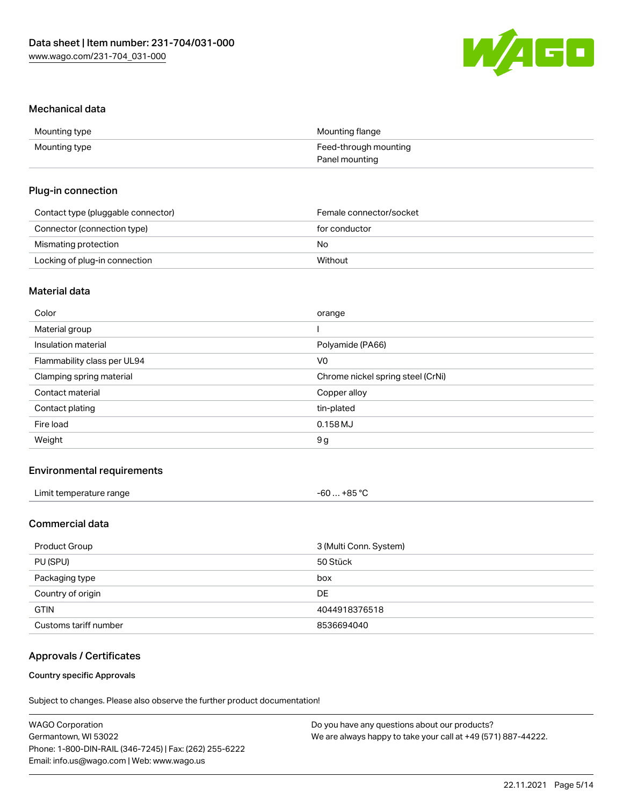

#### Mechanical data

| Mounting type | Mounting flange       |
|---------------|-----------------------|
| Mounting type | Feed-through mounting |
|               | Panel mounting        |

#### Plug-in connection

| Contact type (pluggable connector) | Female connector/socket |
|------------------------------------|-------------------------|
| Connector (connection type)        | for conductor           |
| Mismating protection               | No                      |
| Locking of plug-in connection      | Without                 |

## Material data

| Color                       | orange                            |
|-----------------------------|-----------------------------------|
| Material group              |                                   |
| Insulation material         | Polyamide (PA66)                  |
| Flammability class per UL94 | V0                                |
| Clamping spring material    | Chrome nickel spring steel (CrNi) |
| Contact material            | Copper alloy                      |
| Contact plating             | tin-plated                        |
| Fire load                   | $0.158$ MJ                        |
| Weight                      | 9g                                |
|                             |                                   |

## Environmental requirements

| Limit temperature range | $-60+85 °C$ |  |
|-------------------------|-------------|--|
|-------------------------|-------------|--|

## Commercial data

| Product Group         | 3 (Multi Conn. System) |
|-----------------------|------------------------|
| PU (SPU)              | 50 Stück               |
| Packaging type        | box                    |
| Country of origin     | DE                     |
| <b>GTIN</b>           | 4044918376518          |
| Customs tariff number | 8536694040             |

## Approvals / Certificates

#### Country specific Approvals

| <b>WAGO Corporation</b>                                | Do you have any questions about our products?                 |
|--------------------------------------------------------|---------------------------------------------------------------|
| Germantown, WI 53022                                   | We are always happy to take your call at +49 (571) 887-44222. |
| Phone: 1-800-DIN-RAIL (346-7245)   Fax: (262) 255-6222 |                                                               |
| Email: info.us@wago.com   Web: www.wago.us             |                                                               |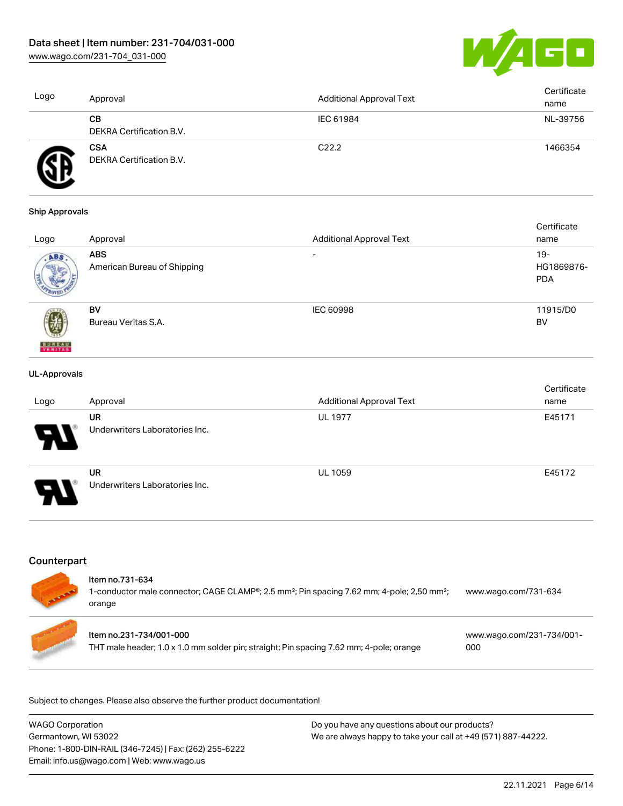[www.wago.com/231-704\\_031-000](http://www.wago.com/231-704_031-000)



| Logo | Approval                               | <b>Additional Approval Text</b> | Certificate<br>name |
|------|----------------------------------------|---------------------------------|---------------------|
|      | CВ<br>DEKRA Certification B.V.         | IEC 61984                       | NL-39756            |
|      | <b>CSA</b><br>DEKRA Certification B.V. | C <sub>22.2</sub>               | 1466354             |

#### Ship Approvals

|                          |                             |                                 | Certificate |
|--------------------------|-----------------------------|---------------------------------|-------------|
| Logo                     | Approval                    | <b>Additional Approval Text</b> | name        |
| ABS.                     | <b>ABS</b>                  | $\overline{\phantom{0}}$        | $19-$       |
|                          | American Bureau of Shipping |                                 | HG1869876-  |
|                          |                             |                                 | <b>PDA</b>  |
|                          |                             |                                 |             |
|                          | BV                          | <b>IEC 60998</b>                | 11915/D0    |
|                          | Bureau Veritas S.A.         |                                 | BV          |
|                          |                             |                                 |             |
| <b>BUREAU</b><br>VERITAS |                             |                                 |             |

#### UL-Approvals

| Logo                  | Approval                                    | <b>Additional Approval Text</b> | Certificate<br>name |
|-----------------------|---------------------------------------------|---------------------------------|---------------------|
| 8                     | <b>UR</b><br>Underwriters Laboratories Inc. | <b>UL 1977</b>                  | E45171              |
| $\boldsymbol{\theta}$ | <b>UR</b><br>Underwriters Laboratories Inc. | <b>UL 1059</b>                  | E45172              |

## **Counterpart**

| Item no.731-634<br>1-conductor male connector; CAGE CLAMP®; 2.5 mm <sup>2</sup> ; Pin spacing 7.62 mm; 4-pole; 2,50 mm <sup>2</sup> ;<br>orange | www.wago.com/731-634             |
|-------------------------------------------------------------------------------------------------------------------------------------------------|----------------------------------|
| ltem no.231-734/001-000<br>THT male header; 1.0 x 1.0 mm solder pin; straight; Pin spacing 7.62 mm; 4-pole; orange                              | www.wago.com/231-734/001-<br>000 |

| <b>WAGO Corporation</b>                                | Do you have any questions about our products?                 |
|--------------------------------------------------------|---------------------------------------------------------------|
| Germantown, WI 53022                                   | We are always happy to take your call at +49 (571) 887-44222. |
| Phone: 1-800-DIN-RAIL (346-7245)   Fax: (262) 255-6222 |                                                               |
| Email: info.us@wago.com   Web: www.wago.us             |                                                               |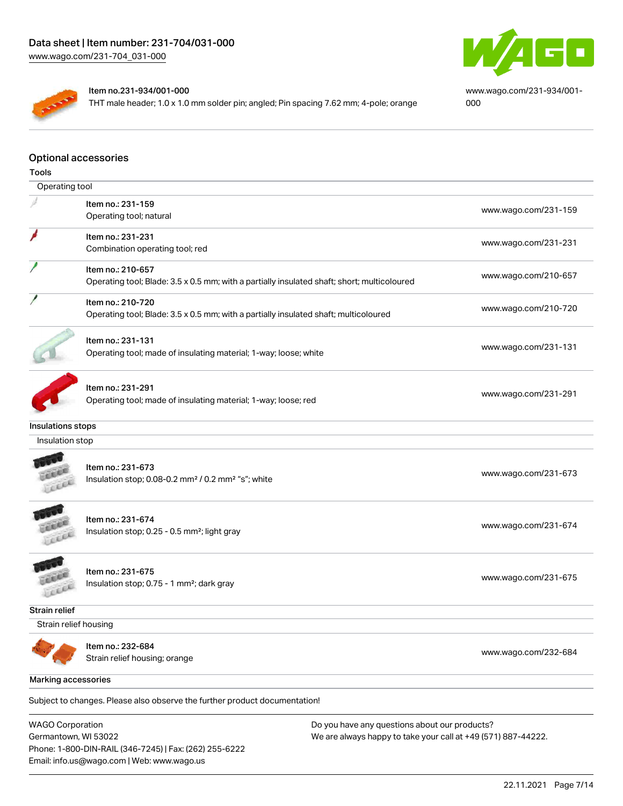

[www.wago.com/231-934/001-](https://www.wago.com/231-934/001-000) [000](https://www.wago.com/231-934/001-000)

#### Item no.231-934/001-000

THT male header; 1.0 x 1.0 mm solder pin; angled; Pin spacing 7.62 mm; 4-pole; orange

#### Optional accessories

| Tools                 |                                                                                                                  |                      |
|-----------------------|------------------------------------------------------------------------------------------------------------------|----------------------|
| Operating tool        |                                                                                                                  |                      |
|                       | Item no.: 231-159<br>Operating tool; natural                                                                     | www.wago.com/231-159 |
|                       | Item no.: 231-231<br>Combination operating tool; red                                                             | www.wago.com/231-231 |
|                       | Item no.: 210-657<br>Operating tool; Blade: 3.5 x 0.5 mm; with a partially insulated shaft; short; multicoloured | www.wago.com/210-657 |
|                       | Item no.: 210-720<br>Operating tool; Blade: 3.5 x 0.5 mm; with a partially insulated shaft; multicoloured        | www.wago.com/210-720 |
|                       | Item no.: 231-131<br>Operating tool; made of insulating material; 1-way; loose; white                            | www.wago.com/231-131 |
|                       | Item no.: 231-291<br>Operating tool; made of insulating material; 1-way; loose; red                              | www.wago.com/231-291 |
| Insulations stops     |                                                                                                                  |                      |
| Insulation stop       |                                                                                                                  |                      |
| ice                   | Item no.: 231-673<br>Insulation stop; 0.08-0.2 mm <sup>2</sup> / 0.2 mm <sup>2</sup> "s"; white                  | www.wago.com/231-673 |
|                       | Item no.: 231-674<br>Insulation stop; 0.25 - 0.5 mm <sup>2</sup> ; light gray                                    | www.wago.com/231-674 |
|                       | Item no.: 231-675<br>Insulation stop; 0.75 - 1 mm <sup>2</sup> ; dark gray                                       | www.wago.com/231-675 |
| Strain relief         |                                                                                                                  |                      |
| Strain relief housing |                                                                                                                  |                      |
|                       | Item no.: 232-684<br>Strain relief housing; orange                                                               | www.wago.com/232-684 |
| Marking accessories   |                                                                                                                  |                      |
|                       | Subject to changes. Please also observe the further product documentation!                                       |                      |
|                       |                                                                                                                  |                      |

WAGO Corporation Germantown, WI 53022 Phone: 1-800-DIN-RAIL (346-7245) | Fax: (262) 255-6222 Email: info.us@wago.com | Web: www.wago.us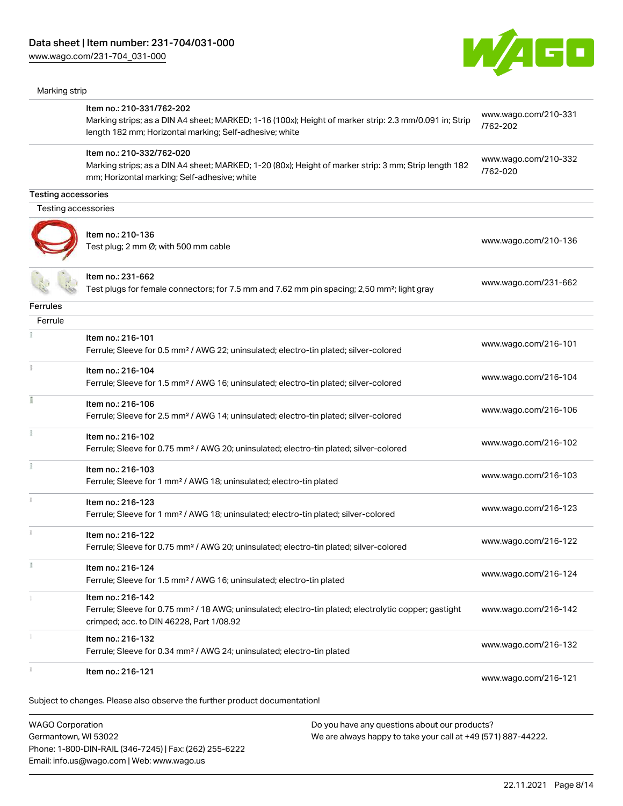[www.wago.com/231-704\\_031-000](http://www.wago.com/231-704_031-000)



| Marking strip              |                                                                                                                                                                                                |                                  |
|----------------------------|------------------------------------------------------------------------------------------------------------------------------------------------------------------------------------------------|----------------------------------|
|                            | Item no.: 210-331/762-202<br>Marking strips; as a DIN A4 sheet; MARKED; 1-16 (100x); Height of marker strip: 2.3 mm/0.091 in; Strip<br>length 182 mm; Horizontal marking; Self-adhesive; white | www.wago.com/210-331<br>/762-202 |
|                            | Item no.: 210-332/762-020<br>Marking strips; as a DIN A4 sheet; MARKED; 1-20 (80x); Height of marker strip: 3 mm; Strip length 182<br>mm; Horizontal marking; Self-adhesive; white             | www.wago.com/210-332<br>/762-020 |
| <b>Testing accessories</b> |                                                                                                                                                                                                |                                  |
| Testing accessories        |                                                                                                                                                                                                |                                  |
|                            | Item no.: 210-136<br>Test plug; 2 mm Ø; with 500 mm cable                                                                                                                                      | www.wago.com/210-136             |
|                            | Item no.: 231-662<br>Test plugs for female connectors; for 7.5 mm and 7.62 mm pin spacing; 2,50 mm²; light gray                                                                                | www.wago.com/231-662             |
| <b>Ferrules</b>            |                                                                                                                                                                                                |                                  |
| Ferrule                    |                                                                                                                                                                                                |                                  |
|                            | Item no.: 216-101<br>Ferrule; Sleeve for 0.5 mm <sup>2</sup> / AWG 22; uninsulated; electro-tin plated; silver-colored                                                                         | www.wago.com/216-101             |
| Ť.                         | Item no.: 216-104<br>Ferrule; Sleeve for 1.5 mm <sup>2</sup> / AWG 16; uninsulated; electro-tin plated; silver-colored                                                                         | www.wago.com/216-104             |
|                            | Item no.: 216-106<br>Ferrule; Sleeve for 2.5 mm <sup>2</sup> / AWG 14; uninsulated; electro-tin plated; silver-colored                                                                         | www.wago.com/216-106             |
|                            | Item no.: 216-102<br>Ferrule; Sleeve for 0.75 mm <sup>2</sup> / AWG 20; uninsulated; electro-tin plated; silver-colored                                                                        | www.wago.com/216-102             |
|                            | Item no.: 216-103<br>Ferrule; Sleeve for 1 mm <sup>2</sup> / AWG 18; uninsulated; electro-tin plated                                                                                           | www.wago.com/216-103             |
|                            | Item no.: 216-123<br>Ferrule; Sleeve for 1 mm <sup>2</sup> / AWG 18; uninsulated; electro-tin plated; silver-colored                                                                           | www.wago.com/216-123             |
| $\frac{1}{2}$              | Item no.: 216-122<br>Ferrule; Sleeve for 0.75 mm <sup>2</sup> / AWG 20; uninsulated; electro-tin plated; silver-colored                                                                        | www.wago.com/216-122             |
| B                          | Item no.: 216-124<br>Ferrule; Sleeve for 1.5 mm <sup>2</sup> / AWG 16; uninsulated; electro-tin plated                                                                                         | www.wago.com/216-124             |
|                            | Item no.: 216-142<br>Ferrule; Sleeve for 0.75 mm <sup>2</sup> / 18 AWG; uninsulated; electro-tin plated; electrolytic copper; gastight<br>crimped; acc. to DIN 46228, Part 1/08.92             | www.wago.com/216-142             |
|                            | Item no.: 216-132<br>Ferrule; Sleeve for 0.34 mm <sup>2</sup> / AWG 24; uninsulated; electro-tin plated                                                                                        | www.wago.com/216-132             |
|                            |                                                                                                                                                                                                |                                  |

WAGO Corporation Germantown, WI 53022 Phone: 1-800-DIN-RAIL (346-7245) | Fax: (262) 255-6222 Email: info.us@wago.com | Web: www.wago.us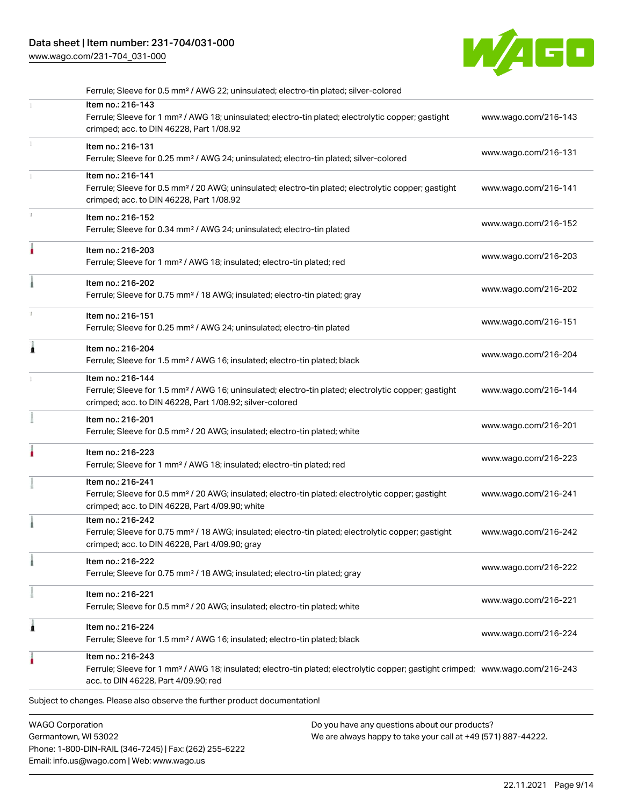## Data sheet | Item number: 231-704/031-000

Phone: 1-800-DIN-RAIL (346-7245) | Fax: (262) 255-6222

Email: info.us@wago.com | Web: www.wago.us

[www.wago.com/231-704\\_031-000](http://www.wago.com/231-704_031-000)



| Ferrule; Sleeve for 0.5 mm <sup>2</sup> / AWG 22; uninsulated; electro-tin plated; silver-colored                                                                                                       |                                                                                                                |  |
|---------------------------------------------------------------------------------------------------------------------------------------------------------------------------------------------------------|----------------------------------------------------------------------------------------------------------------|--|
| Item no.: 216-143<br>Ferrule; Sleeve for 1 mm <sup>2</sup> / AWG 18; uninsulated; electro-tin plated; electrolytic copper; gastight<br>crimped; acc. to DIN 46228, Part 1/08.92                         | www.wago.com/216-143                                                                                           |  |
| Item no.: 216-131<br>Ferrule; Sleeve for 0.25 mm <sup>2</sup> / AWG 24; uninsulated; electro-tin plated; silver-colored                                                                                 | www.wago.com/216-131                                                                                           |  |
| Item no.: 216-141<br>Ferrule; Sleeve for 0.5 mm <sup>2</sup> / 20 AWG; uninsulated; electro-tin plated; electrolytic copper; gastight<br>crimped; acc. to DIN 46228, Part 1/08.92                       | www.wago.com/216-141                                                                                           |  |
| Item no.: 216-152<br>Ferrule; Sleeve for 0.34 mm <sup>2</sup> / AWG 24; uninsulated; electro-tin plated                                                                                                 | www.wago.com/216-152                                                                                           |  |
| Item no.: 216-203<br>Ferrule; Sleeve for 1 mm <sup>2</sup> / AWG 18; insulated; electro-tin plated; red                                                                                                 | www.wago.com/216-203                                                                                           |  |
| Item no.: 216-202<br>Ferrule; Sleeve for 0.75 mm <sup>2</sup> / 18 AWG; insulated; electro-tin plated; gray                                                                                             | www.wago.com/216-202                                                                                           |  |
| Item no.: 216-151<br>Ferrule; Sleeve for 0.25 mm <sup>2</sup> / AWG 24; uninsulated; electro-tin plated                                                                                                 | www.wago.com/216-151                                                                                           |  |
| Item no.: 216-204<br>Ferrule; Sleeve for 1.5 mm <sup>2</sup> / AWG 16; insulated; electro-tin plated; black                                                                                             | www.wago.com/216-204                                                                                           |  |
| Item no.: 216-144<br>Ferrule; Sleeve for 1.5 mm <sup>2</sup> / AWG 16; uninsulated; electro-tin plated; electrolytic copper; gastight<br>crimped; acc. to DIN 46228, Part 1/08.92; silver-colored       | www.wago.com/216-144                                                                                           |  |
| Item no.: 216-201<br>Ferrule; Sleeve for 0.5 mm <sup>2</sup> / 20 AWG; insulated; electro-tin plated; white                                                                                             | www.wago.com/216-201                                                                                           |  |
| Item no.: 216-223<br>Ferrule; Sleeve for 1 mm <sup>2</sup> / AWG 18; insulated; electro-tin plated; red                                                                                                 | www.wago.com/216-223                                                                                           |  |
| Item no.: 216-241<br>Ferrule; Sleeve for 0.5 mm <sup>2</sup> / 20 AWG; insulated; electro-tin plated; electrolytic copper; gastight<br>crimped; acc. to DIN 46228, Part 4/09.90; white                  | www.wago.com/216-241                                                                                           |  |
| Item no.: 216-242<br>Ferrule; Sleeve for 0.75 mm <sup>2</sup> / 18 AWG; insulated; electro-tin plated; electrolytic copper; gastight<br>crimped; acc. to DIN 46228, Part 4/09.90; gray                  | www.wago.com/216-242                                                                                           |  |
| Item no.: 216-222<br>Ferrule; Sleeve for 0.75 mm <sup>2</sup> / 18 AWG; insulated; electro-tin plated; gray                                                                                             | www.wago.com/216-222                                                                                           |  |
| Item no.: 216-221<br>Ferrule; Sleeve for 0.5 mm <sup>2</sup> / 20 AWG; insulated; electro-tin plated; white                                                                                             | www.wago.com/216-221                                                                                           |  |
| Item no.: 216-224<br>Ferrule; Sleeve for 1.5 mm <sup>2</sup> / AWG 16; insulated; electro-tin plated; black                                                                                             | www.wago.com/216-224                                                                                           |  |
| Item no.: 216-243<br>Ferrule; Sleeve for 1 mm <sup>2</sup> / AWG 18; insulated; electro-tin plated; electrolytic copper; gastight crimped; www.wago.com/216-243<br>acc. to DIN 46228, Part 4/09.90; red |                                                                                                                |  |
| Subject to changes. Please also observe the further product documentation!                                                                                                                              |                                                                                                                |  |
| <b>WAGO Corporation</b><br>Germantown, WI 53022                                                                                                                                                         | Do you have any questions about our products?<br>We are always happy to take your call at +49 (571) 887-44222. |  |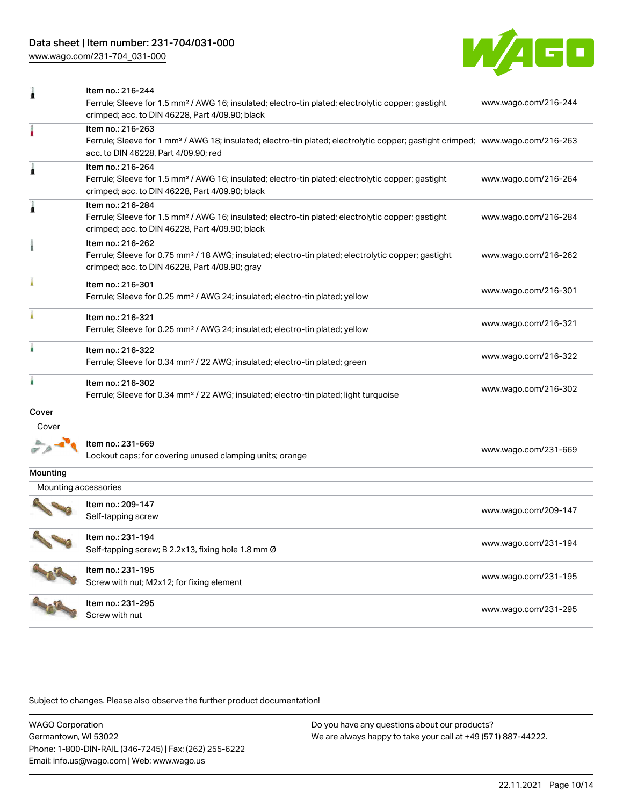## Data sheet | Item number: 231-704/031-000

[www.wago.com/231-704\\_031-000](http://www.wago.com/231-704_031-000)



| 1                    | Item no.: 216-244<br>Ferrule; Sleeve for 1.5 mm <sup>2</sup> / AWG 16; insulated; electro-tin plated; electrolytic copper; gastight<br>crimped; acc. to DIN 46228, Part 4/09.90; black                  | www.wago.com/216-244 |
|----------------------|---------------------------------------------------------------------------------------------------------------------------------------------------------------------------------------------------------|----------------------|
| ۸                    | Item no.: 216-263<br>Ferrule; Sleeve for 1 mm <sup>2</sup> / AWG 18; insulated; electro-tin plated; electrolytic copper; gastight crimped; www.wago.com/216-263<br>acc. to DIN 46228, Part 4/09.90; red |                      |
| À                    | Item no.: 216-264<br>Ferrule; Sleeve for 1.5 mm <sup>2</sup> / AWG 16; insulated; electro-tin plated; electrolytic copper; gastight<br>crimped; acc. to DIN 46228, Part 4/09.90; black                  | www.wago.com/216-264 |
| Â                    | Item no.: 216-284<br>Ferrule; Sleeve for 1.5 mm <sup>2</sup> / AWG 16; insulated; electro-tin plated; electrolytic copper; gastight<br>crimped; acc. to DIN 46228, Part 4/09.90; black                  | www.wago.com/216-284 |
|                      | Item no.: 216-262<br>Ferrule; Sleeve for 0.75 mm <sup>2</sup> / 18 AWG; insulated; electro-tin plated; electrolytic copper; gastight<br>crimped; acc. to DIN 46228, Part 4/09.90; gray                  | www.wago.com/216-262 |
|                      | Item no.: 216-301<br>Ferrule; Sleeve for 0.25 mm <sup>2</sup> / AWG 24; insulated; electro-tin plated; yellow                                                                                           | www.wago.com/216-301 |
|                      | Item no.: 216-321<br>Ferrule; Sleeve for 0.25 mm <sup>2</sup> / AWG 24; insulated; electro-tin plated; yellow                                                                                           | www.wago.com/216-321 |
| ł.                   | Item no.: 216-322<br>Ferrule; Sleeve for 0.34 mm <sup>2</sup> / 22 AWG; insulated; electro-tin plated; green                                                                                            | www.wago.com/216-322 |
| ì                    | Item no.: 216-302<br>Ferrule; Sleeve for 0.34 mm <sup>2</sup> / 22 AWG; insulated; electro-tin plated; light turquoise                                                                                  | www.wago.com/216-302 |
| Cover                |                                                                                                                                                                                                         |                      |
| Cover                |                                                                                                                                                                                                         |                      |
|                      | Item no.: 231-669<br>Lockout caps; for covering unused clamping units; orange                                                                                                                           | www.wago.com/231-669 |
| Mounting             |                                                                                                                                                                                                         |                      |
| Mounting accessories |                                                                                                                                                                                                         |                      |
|                      | Item no.: 209-147<br>Self-tapping screw                                                                                                                                                                 | www.wago.com/209-147 |
|                      | Item no.: 231-194<br>Self-tapping screw; B 2.2x13, fixing hole 1.8 mm Ø                                                                                                                                 | www.wago.com/231-194 |
|                      | Item no.: 231-195<br>Screw with nut; M2x12; for fixing element                                                                                                                                          | www.wago.com/231-195 |
|                      | Item no.: 231-295<br>Screw with nut                                                                                                                                                                     | www.wago.com/231-295 |

Subject to changes. Please also observe the further product documentation!

WAGO Corporation Germantown, WI 53022 Phone: 1-800-DIN-RAIL (346-7245) | Fax: (262) 255-6222 Email: info.us@wago.com | Web: www.wago.us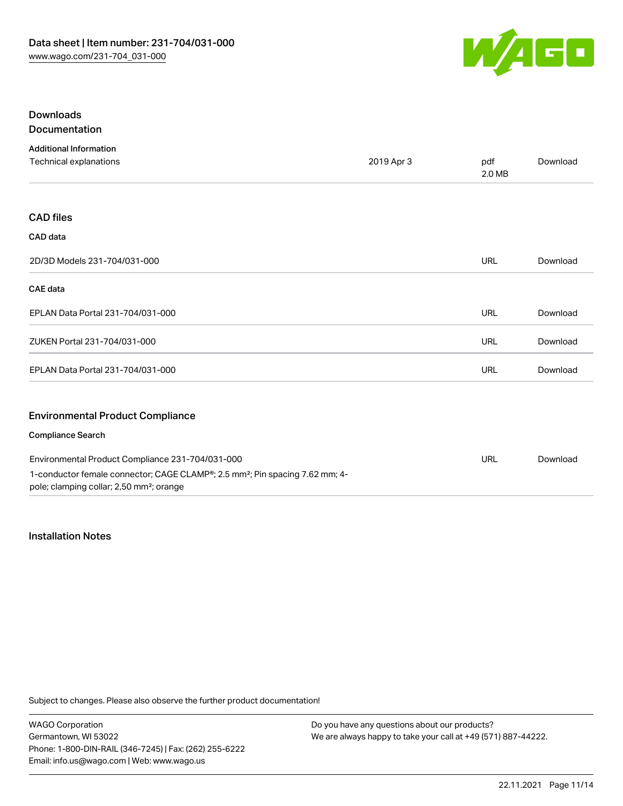

## Downloads Documentation

| <b>Additional Information</b>                                                                                                                    |            |               |          |
|--------------------------------------------------------------------------------------------------------------------------------------------------|------------|---------------|----------|
| Technical explanations                                                                                                                           | 2019 Apr 3 | pdf<br>2.0 MB | Download |
|                                                                                                                                                  |            |               |          |
| <b>CAD files</b>                                                                                                                                 |            |               |          |
| CAD data                                                                                                                                         |            |               |          |
| 2D/3D Models 231-704/031-000                                                                                                                     |            | <b>URL</b>    | Download |
| <b>CAE</b> data                                                                                                                                  |            |               |          |
| EPLAN Data Portal 231-704/031-000                                                                                                                |            | URL           | Download |
| ZUKEN Portal 231-704/031-000                                                                                                                     |            | <b>URL</b>    | Download |
| EPLAN Data Portal 231-704/031-000                                                                                                                |            | <b>URL</b>    | Download |
| <b>Environmental Product Compliance</b>                                                                                                          |            |               |          |
| <b>Compliance Search</b>                                                                                                                         |            |               |          |
| Environmental Product Compliance 231-704/031-000                                                                                                 |            | <b>URL</b>    | Download |
| 1-conductor female connector; CAGE CLAMP®; 2.5 mm <sup>2</sup> ; Pin spacing 7.62 mm; 4-<br>pole; clamping collar; 2,50 mm <sup>2</sup> ; orange |            |               |          |

## Installation Notes

Subject to changes. Please also observe the further product documentation!

WAGO Corporation Germantown, WI 53022 Phone: 1-800-DIN-RAIL (346-7245) | Fax: (262) 255-6222 Email: info.us@wago.com | Web: www.wago.us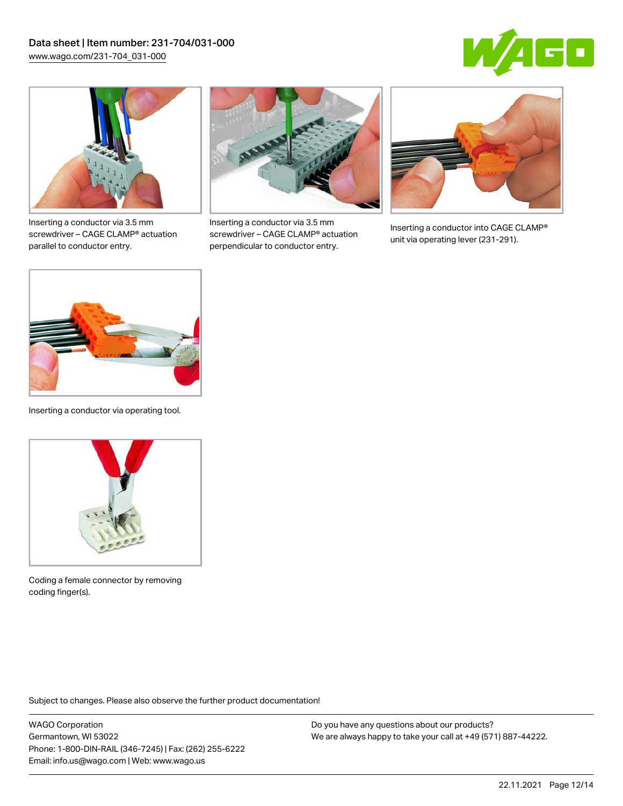



Inserting a conductor via 3.5 mm screwdriver – CAGE CLAMP® actuation parallel to conductor entry.



Inserting a conductor via 3.5 mm screwdriver – CAGE CLAMP® actuation perpendicular to conductor entry.



Inserting a conductor into CAGE CLAMP® unit via operating lever (231-291).

![](_page_11_Picture_8.jpeg)

Inserting a conductor via operating tool.

![](_page_11_Picture_10.jpeg)

Coding a female connector by removing coding finger(s).

Subject to changes. Please also observe the further product documentation!

WAGO Corporation Germantown, WI 53022 Phone: 1-800-DIN-RAIL (346-7245) | Fax: (262) 255-6222 Email: info.us@wago.com | Web: www.wago.us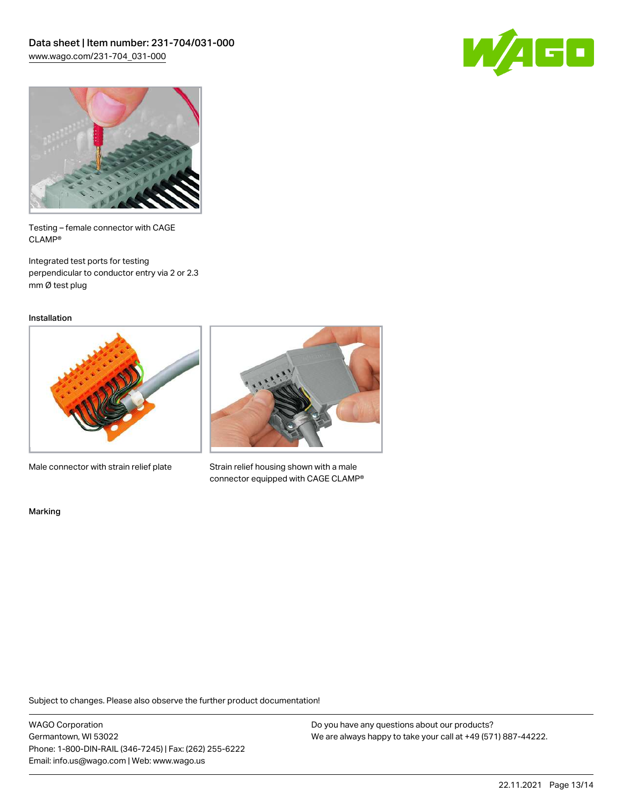![](_page_12_Picture_1.jpeg)

![](_page_12_Picture_2.jpeg)

Testing – female connector with CAGE CLAMP®

Integrated test ports for testing perpendicular to conductor entry via 2 or 2.3 mm Ø test plug

Installation

![](_page_12_Picture_6.jpeg)

Male connector with strain relief plate

![](_page_12_Picture_8.jpeg)

Strain relief housing shown with a male connector equipped with CAGE CLAMP®

Marking

Subject to changes. Please also observe the further product documentation!

WAGO Corporation Germantown, WI 53022 Phone: 1-800-DIN-RAIL (346-7245) | Fax: (262) 255-6222 Email: info.us@wago.com | Web: www.wago.us